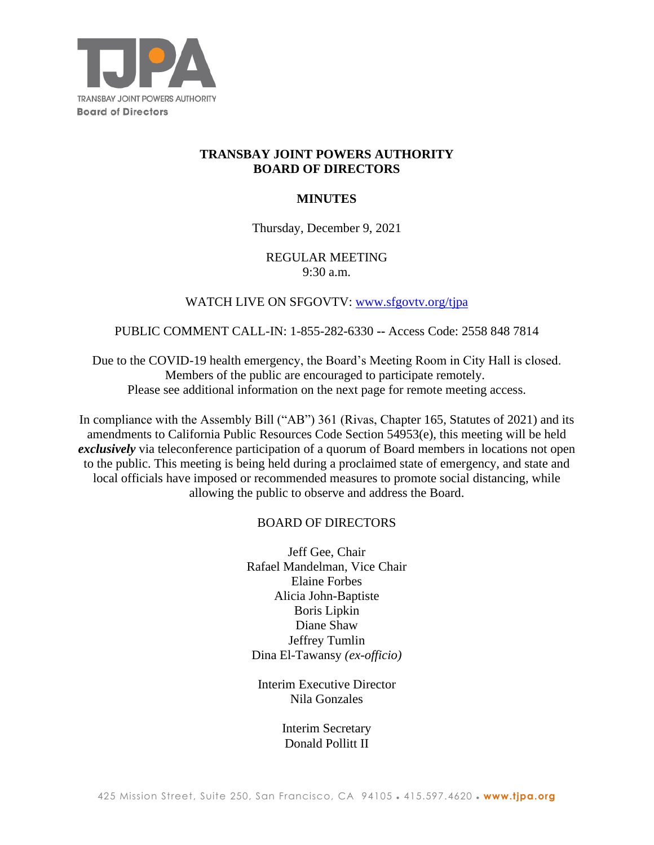

# **TRANSBAY JOINT POWERS AUTHORITY BOARD OF DIRECTORS**

## **MINUTES**

## Thursday, December 9, 2021

## REGULAR MEETING 9:30 a.m.

## WATCH LIVE ON SFGOVTV: www.sfgovtv.org/tipa

### PUBLIC COMMENT CALL-IN: 1-855-282-6330 **--** Access Code: 2558 848 7814

Due to the COVID-19 health emergency, the Board's Meeting Room in City Hall is closed. Members of the public are encouraged to participate remotely. Please see additional information on the next page for remote meeting access.

In compliance with the Assembly Bill ("AB") 361 (Rivas, Chapter 165, Statutes of 2021) and its amendments to California Public Resources Code Section 54953(e), this meeting will be held *exclusively* via teleconference participation of a quorum of Board members in locations not open to the public. This meeting is being held during a proclaimed state of emergency, and state and local officials have imposed or recommended measures to promote social distancing, while allowing the public to observe and address the Board.

## BOARD OF DIRECTORS

Jeff Gee, Chair Rafael Mandelman, Vice Chair Elaine Forbes Alicia John-Baptiste Boris Lipkin Diane Shaw Jeffrey Tumlin Dina El-Tawansy *(ex-officio)*

Interim Executive Director Nila Gonzales

> Interim Secretary Donald Pollitt II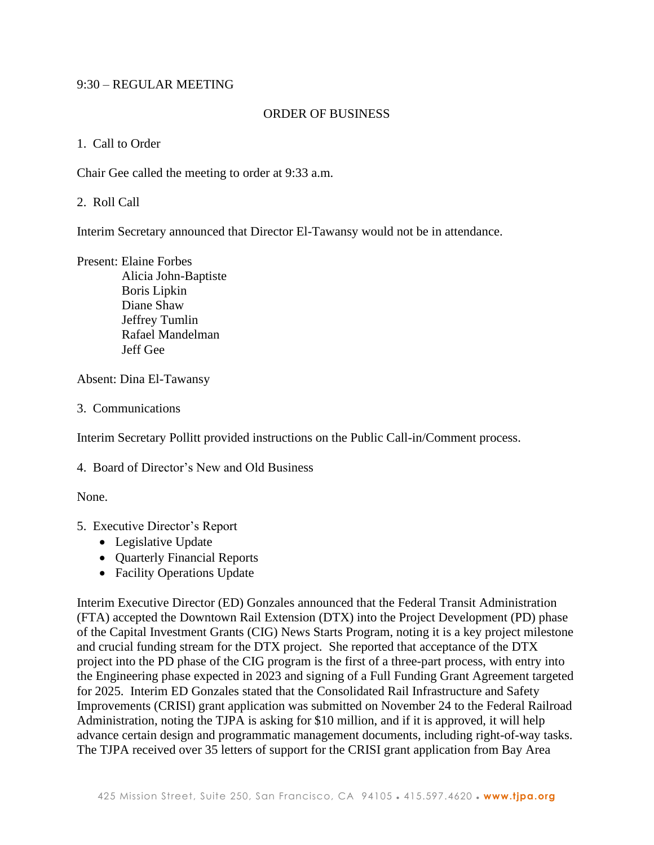## 9:30 – REGULAR MEETING

### ORDER OF BUSINESS

1. Call to Order

Chair Gee called the meeting to order at 9:33 a.m.

2. Roll Call

Interim Secretary announced that Director El-Tawansy would not be in attendance.

Present: Elaine Forbes

 Alicia John-Baptiste Boris Lipkin Diane Shaw Jeffrey Tumlin Rafael Mandelman Jeff Gee

Absent: Dina El-Tawansy

3. Communications

Interim Secretary Pollitt provided instructions on the Public Call-in/Comment process.

4. Board of Director's New and Old Business

None.

- 5. Executive Director's Report
	- Legislative Update
	- Quarterly Financial Reports
	- Facility Operations Update

Interim Executive Director (ED) Gonzales announced that the Federal Transit Administration (FTA) accepted the Downtown Rail Extension (DTX) into the Project Development (PD) phase of the Capital Investment Grants (CIG) News Starts Program, noting it is a key project milestone and crucial funding stream for the DTX project. She reported that acceptance of the DTX project into the PD phase of the CIG program is the first of a three-part process, with entry into the Engineering phase expected in 2023 and signing of a Full Funding Grant Agreement targeted for 2025. Interim ED Gonzales stated that the Consolidated Rail Infrastructure and Safety Improvements (CRISI) grant application was submitted on November 24 to the Federal Railroad Administration, noting the TJPA is asking for \$10 million, and if it is approved, it will help advance certain design and programmatic management documents, including right-of-way tasks. The TJPA received over 35 letters of support for the CRISI grant application from Bay Area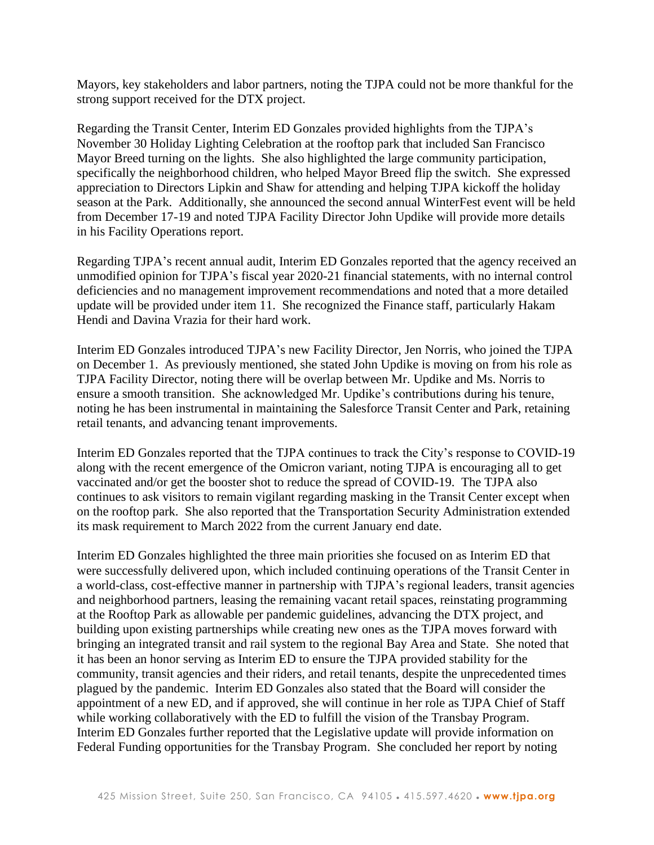Mayors, key stakeholders and labor partners, noting the TJPA could not be more thankful for the strong support received for the DTX project.

Regarding the Transit Center, Interim ED Gonzales provided highlights from the TJPA's November 30 Holiday Lighting Celebration at the rooftop park that included San Francisco Mayor Breed turning on the lights. She also highlighted the large community participation, specifically the neighborhood children, who helped Mayor Breed flip the switch. She expressed appreciation to Directors Lipkin and Shaw for attending and helping TJPA kickoff the holiday season at the Park. Additionally, she announced the second annual WinterFest event will be held from December 17-19 and noted TJPA Facility Director John Updike will provide more details in his Facility Operations report.

Regarding TJPA's recent annual audit, Interim ED Gonzales reported that the agency received an unmodified opinion for TJPA's fiscal year 2020-21 financial statements, with no internal control deficiencies and no management improvement recommendations and noted that a more detailed update will be provided under item 11. She recognized the Finance staff, particularly Hakam Hendi and Davina Vrazia for their hard work.

Interim ED Gonzales introduced TJPA's new Facility Director, Jen Norris, who joined the TJPA on December 1. As previously mentioned, she stated John Updike is moving on from his role as TJPA Facility Director, noting there will be overlap between Mr. Updike and Ms. Norris to ensure a smooth transition. She acknowledged Mr. Updike's contributions during his tenure, noting he has been instrumental in maintaining the Salesforce Transit Center and Park, retaining retail tenants, and advancing tenant improvements.

Interim ED Gonzales reported that the TJPA continues to track the City's response to COVID-19 along with the recent emergence of the Omicron variant, noting TJPA is encouraging all to get vaccinated and/or get the booster shot to reduce the spread of COVID-19. The TJPA also continues to ask visitors to remain vigilant regarding masking in the Transit Center except when on the rooftop park. She also reported that the Transportation Security Administration extended its mask requirement to March 2022 from the current January end date.

Interim ED Gonzales highlighted the three main priorities she focused on as Interim ED that were successfully delivered upon, which included continuing operations of the Transit Center in a world-class, cost-effective manner in partnership with TJPA's regional leaders, transit agencies and neighborhood partners, leasing the remaining vacant retail spaces, reinstating programming at the Rooftop Park as allowable per pandemic guidelines, advancing the DTX project, and building upon existing partnerships while creating new ones as the TJPA moves forward with bringing an integrated transit and rail system to the regional Bay Area and State. She noted that it has been an honor serving as Interim ED to ensure the TJPA provided stability for the community, transit agencies and their riders, and retail tenants, despite the unprecedented times plagued by the pandemic. Interim ED Gonzales also stated that the Board will consider the appointment of a new ED, and if approved, she will continue in her role as TJPA Chief of Staff while working collaboratively with the ED to fulfill the vision of the Transbay Program. Interim ED Gonzales further reported that the Legislative update will provide information on Federal Funding opportunities for the Transbay Program. She concluded her report by noting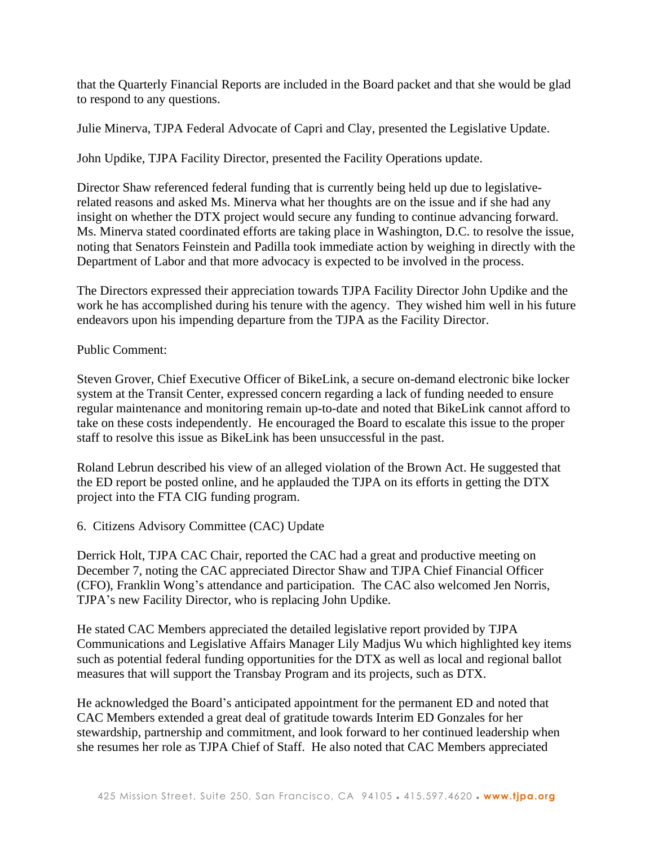that the Quarterly Financial Reports are included in the Board packet and that she would be glad to respond to any questions.

Julie Minerva, TJPA Federal Advocate of Capri and Clay, presented the Legislative Update.

John Updike, TJPA Facility Director, presented the Facility Operations update.

Director Shaw referenced federal funding that is currently being held up due to legislativerelated reasons and asked Ms. Minerva what her thoughts are on the issue and if she had any insight on whether the DTX project would secure any funding to continue advancing forward. Ms. Minerva stated coordinated efforts are taking place in Washington, D.C. to resolve the issue, noting that Senators Feinstein and Padilla took immediate action by weighing in directly with the Department of Labor and that more advocacy is expected to be involved in the process.

The Directors expressed their appreciation towards TJPA Facility Director John Updike and the work he has accomplished during his tenure with the agency. They wished him well in his future endeavors upon his impending departure from the TJPA as the Facility Director.

## Public Comment:

Steven Grover, Chief Executive Officer of BikeLink, a secure on-demand electronic bike locker system at the Transit Center, expressed concern regarding a lack of funding needed to ensure regular maintenance and monitoring remain up-to-date and noted that BikeLink cannot afford to take on these costs independently. He encouraged the Board to escalate this issue to the proper staff to resolve this issue as BikeLink has been unsuccessful in the past.

Roland Lebrun described his view of an alleged violation of the Brown Act. He suggested that the ED report be posted online, and he applauded the TJPA on its efforts in getting the DTX project into the FTA CIG funding program.

## 6. Citizens Advisory Committee (CAC) Update

Derrick Holt, TJPA CAC Chair, reported the CAC had a great and productive meeting on December 7, noting the CAC appreciated Director Shaw and TJPA Chief Financial Officer (CFO), Franklin Wong's attendance and participation. The CAC also welcomed Jen Norris, TJPA's new Facility Director, who is replacing John Updike.

He stated CAC Members appreciated the detailed legislative report provided by TJPA Communications and Legislative Affairs Manager Lily Madjus Wu which highlighted key items such as potential federal funding opportunities for the DTX as well as local and regional ballot measures that will support the Transbay Program and its projects, such as DTX.

He acknowledged the Board's anticipated appointment for the permanent ED and noted that CAC Members extended a great deal of gratitude towards Interim ED Gonzales for her stewardship, partnership and commitment, and look forward to her continued leadership when she resumes her role as TJPA Chief of Staff. He also noted that CAC Members appreciated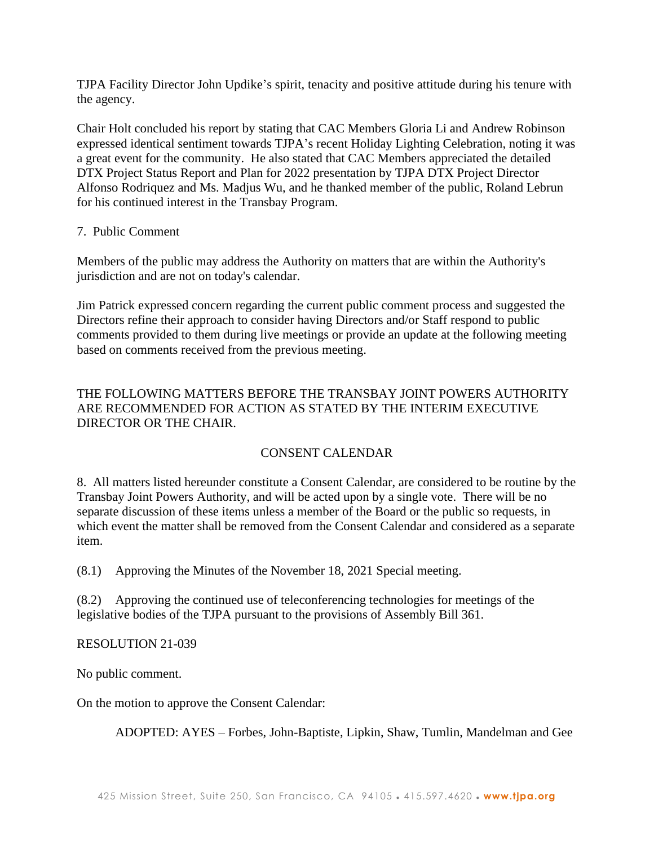TJPA Facility Director John Updike's spirit, tenacity and positive attitude during his tenure with the agency.

Chair Holt concluded his report by stating that CAC Members Gloria Li and Andrew Robinson expressed identical sentiment towards TJPA's recent Holiday Lighting Celebration, noting it was a great event for the community. He also stated that CAC Members appreciated the detailed DTX Project Status Report and Plan for 2022 presentation by TJPA DTX Project Director Alfonso Rodriquez and Ms. Madjus Wu, and he thanked member of the public, Roland Lebrun for his continued interest in the Transbay Program.

## 7. Public Comment

Members of the public may address the Authority on matters that are within the Authority's jurisdiction and are not on today's calendar.

Jim Patrick expressed concern regarding the current public comment process and suggested the Directors refine their approach to consider having Directors and/or Staff respond to public comments provided to them during live meetings or provide an update at the following meeting based on comments received from the previous meeting.

# THE FOLLOWING MATTERS BEFORE THE TRANSBAY JOINT POWERS AUTHORITY ARE RECOMMENDED FOR ACTION AS STATED BY THE INTERIM EXECUTIVE DIRECTOR OR THE CHAIR.

# CONSENT CALENDAR

8. All matters listed hereunder constitute a Consent Calendar, are considered to be routine by the Transbay Joint Powers Authority, and will be acted upon by a single vote. There will be no separate discussion of these items unless a member of the Board or the public so requests, in which event the matter shall be removed from the Consent Calendar and considered as a separate item.

(8.1) Approving the Minutes of the November 18, 2021 Special meeting.

(8.2) Approving the continued use of teleconferencing technologies for meetings of the legislative bodies of the TJPA pursuant to the provisions of Assembly Bill 361.

## RESOLUTION 21-039

No public comment.

On the motion to approve the Consent Calendar:

ADOPTED: AYES – Forbes, John-Baptiste, Lipkin, Shaw, Tumlin, Mandelman and Gee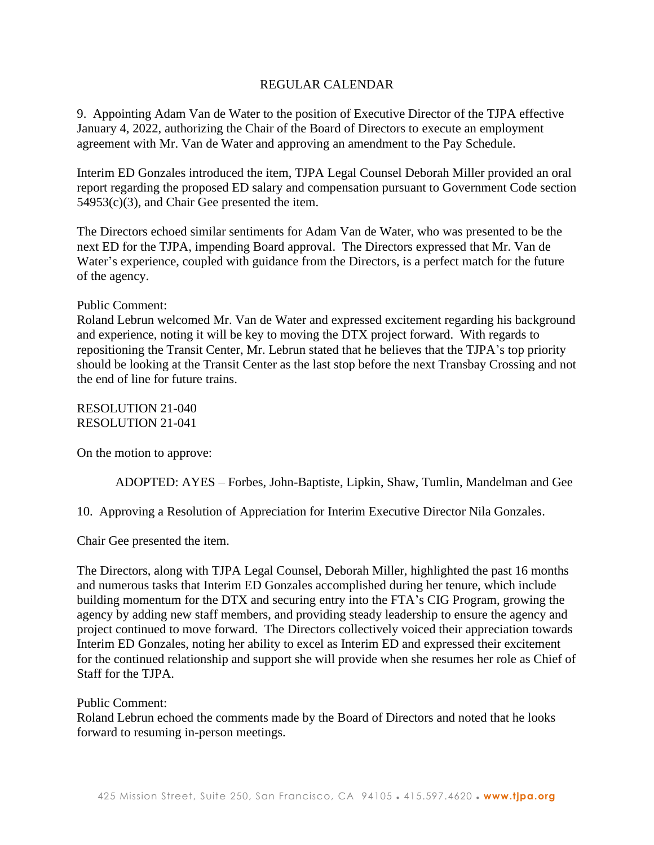## REGULAR CALENDAR

9. Appointing Adam Van de Water to the position of Executive Director of the TJPA effective January 4, 2022, authorizing the Chair of the Board of Directors to execute an employment agreement with Mr. Van de Water and approving an amendment to the Pay Schedule.

Interim ED Gonzales introduced the item, TJPA Legal Counsel Deborah Miller provided an oral report regarding the proposed ED salary and compensation pursuant to Government Code section 54953(c)(3), and Chair Gee presented the item.

The Directors echoed similar sentiments for Adam Van de Water, who was presented to be the next ED for the TJPA, impending Board approval. The Directors expressed that Mr. Van de Water's experience, coupled with guidance from the Directors, is a perfect match for the future of the agency.

### Public Comment:

Roland Lebrun welcomed Mr. Van de Water and expressed excitement regarding his background and experience, noting it will be key to moving the DTX project forward. With regards to repositioning the Transit Center, Mr. Lebrun stated that he believes that the TJPA's top priority should be looking at the Transit Center as the last stop before the next Transbay Crossing and not the end of line for future trains.

RESOLUTION 21-040 RESOLUTION 21-041

On the motion to approve:

ADOPTED: AYES – Forbes, John-Baptiste, Lipkin, Shaw, Tumlin, Mandelman and Gee

10. Approving a Resolution of Appreciation for Interim Executive Director Nila Gonzales.

Chair Gee presented the item.

The Directors, along with TJPA Legal Counsel, Deborah Miller, highlighted the past 16 months and numerous tasks that Interim ED Gonzales accomplished during her tenure, which include building momentum for the DTX and securing entry into the FTA's CIG Program, growing the agency by adding new staff members, and providing steady leadership to ensure the agency and project continued to move forward. The Directors collectively voiced their appreciation towards Interim ED Gonzales, noting her ability to excel as Interim ED and expressed their excitement for the continued relationship and support she will provide when she resumes her role as Chief of Staff for the TJPA.

#### Public Comment:

Roland Lebrun echoed the comments made by the Board of Directors and noted that he looks forward to resuming in-person meetings.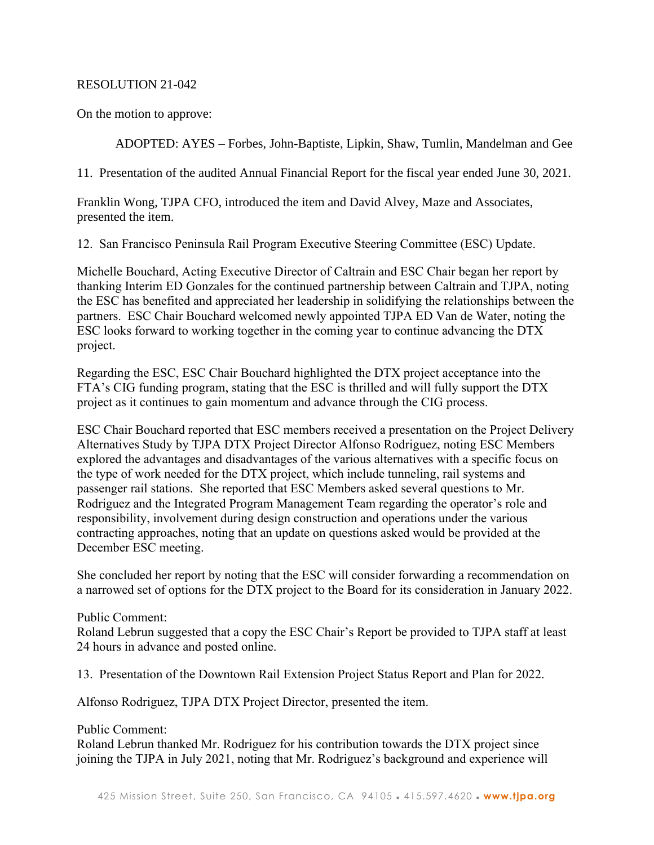## RESOLUTION 21-042

On the motion to approve:

ADOPTED: AYES – Forbes, John-Baptiste, Lipkin, Shaw, Tumlin, Mandelman and Gee

11. Presentation of the audited Annual Financial Report for the fiscal year ended June 30, 2021.

Franklin Wong, TJPA CFO, introduced the item and David Alvey, Maze and Associates, presented the item.

12. San Francisco Peninsula Rail Program Executive Steering Committee (ESC) Update.

Michelle Bouchard, Acting Executive Director of Caltrain and ESC Chair began her report by thanking Interim ED Gonzales for the continued partnership between Caltrain and TJPA, noting the ESC has benefited and appreciated her leadership in solidifying the relationships between the partners. ESC Chair Bouchard welcomed newly appointed TJPA ED Van de Water, noting the ESC looks forward to working together in the coming year to continue advancing the DTX project.

Regarding the ESC, ESC Chair Bouchard highlighted the DTX project acceptance into the FTA's CIG funding program, stating that the ESC is thrilled and will fully support the DTX project as it continues to gain momentum and advance through the CIG process.

ESC Chair Bouchard reported that ESC members received a presentation on the Project Delivery Alternatives Study by TJPA DTX Project Director Alfonso Rodriguez, noting ESC Members explored the advantages and disadvantages of the various alternatives with a specific focus on the type of work needed for the DTX project, which include tunneling, rail systems and passenger rail stations. She reported that ESC Members asked several questions to Mr. Rodriguez and the Integrated Program Management Team regarding the operator's role and responsibility, involvement during design construction and operations under the various contracting approaches, noting that an update on questions asked would be provided at the December ESC meeting.

She concluded her report by noting that the ESC will consider forwarding a recommendation on a narrowed set of options for the DTX project to the Board for its consideration in January 2022.

## Public Comment:

Roland Lebrun suggested that a copy the ESC Chair's Report be provided to TJPA staff at least 24 hours in advance and posted online.

13. Presentation of the Downtown Rail Extension Project Status Report and Plan for 2022.

Alfonso Rodriguez, TJPA DTX Project Director, presented the item.

Public Comment:

Roland Lebrun thanked Mr. Rodriguez for his contribution towards the DTX project since joining the TJPA in July 2021, noting that Mr. Rodriguez's background and experience will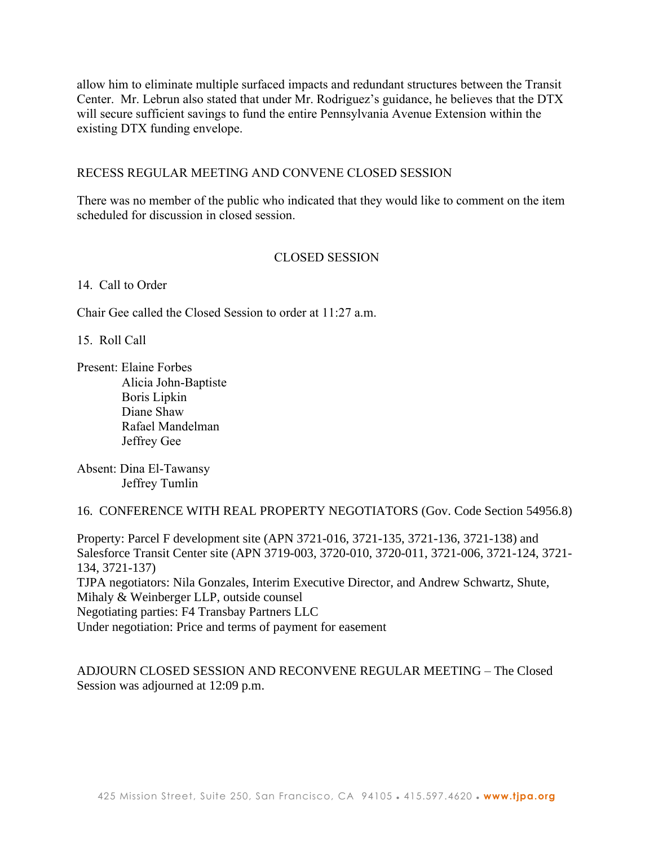allow him to eliminate multiple surfaced impacts and redundant structures between the Transit Center. Mr. Lebrun also stated that under Mr. Rodriguez's guidance, he believes that the DTX will secure sufficient savings to fund the entire Pennsylvania Avenue Extension within the existing DTX funding envelope.

### RECESS REGULAR MEETING AND CONVENE CLOSED SESSION

There was no member of the public who indicated that they would like to comment on the item scheduled for discussion in closed session.

### CLOSED SESSION

14. Call to Order

Chair Gee called the Closed Session to order at 11:27 a.m.

15. Roll Call

Present: Elaine Forbes Alicia John-Baptiste Boris Lipkin Diane Shaw Rafael Mandelman Jeffrey Gee

Absent: Dina El-Tawansy Jeffrey Tumlin

16. CONFERENCE WITH REAL PROPERTY NEGOTIATORS (Gov. Code Section 54956.8)

Property: Parcel F development site (APN 3721-016, 3721-135, 3721-136, 3721-138) and Salesforce Transit Center site (APN 3719-003, 3720-010, 3720-011, 3721-006, 3721-124, 3721- 134, 3721-137) TJPA negotiators: Nila Gonzales, Interim Executive Director, and Andrew Schwartz, Shute, Mihaly & Weinberger LLP, outside counsel Negotiating parties: F4 Transbay Partners LLC Under negotiation: Price and terms of payment for easement

ADJOURN CLOSED SESSION AND RECONVENE REGULAR MEETING – The Closed Session was adjourned at 12:09 p.m.